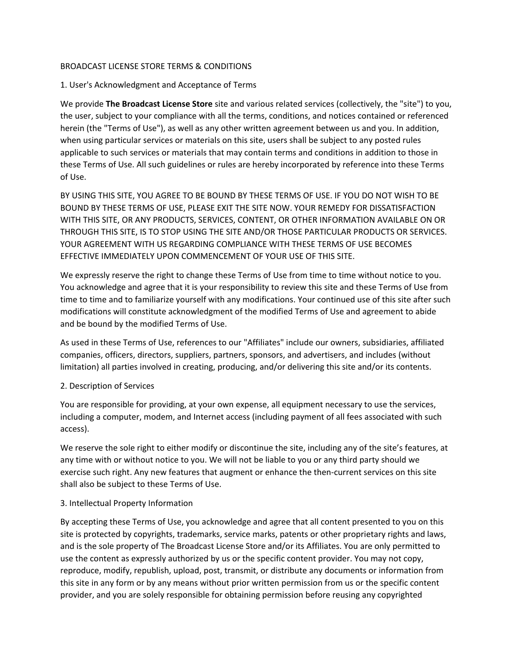### BROADCAST LICENSE STORE TERMS & CONDITIONS

## 1. User's Acknowledgment and Acceptance of Terms

We provide **The Broadcast License Store** site and various related services (collectively, the "site") to you, the user, subject to your compliance with all the terms, conditions, and notices contained or referenced herein (the "Terms of Use"), as well as any other written agreement between us and you. In addition, when using particular services or materials on this site, users shall be subject to any posted rules applicable to such services or materials that may contain terms and conditions in addition to those in these Terms of Use. All such guidelines or rules are hereby incorporated by reference into these Terms of Use.

BY USING THIS SITE, YOU AGREE TO BE BOUND BY THESE TERMS OF USE. IF YOU DO NOT WISH TO BE BOUND BY THESE TERMS OF USE, PLEASE EXIT THE SITE NOW. YOUR REMEDY FOR DISSATISFACTION WITH THIS SITE, OR ANY PRODUCTS, SERVICES, CONTENT, OR OTHER INFORMATION AVAILABLE ON OR THROUGH THIS SITE, IS TO STOP USING THE SITE AND/OR THOSE PARTICULAR PRODUCTS OR SERVICES. YOUR AGREEMENT WITH US REGARDING COMPLIANCE WITH THESE TERMS OF USE BECOMES EFFECTIVE IMMEDIATELY UPON COMMENCEMENT OF YOUR USE OF THIS SITE.

We expressly reserve the right to change these Terms of Use from time to time without notice to you. You acknowledge and agree that it is your responsibility to review this site and these Terms of Use from time to time and to familiarize yourself with any modifications. Your continued use of this site after such modifications will constitute acknowledgment of the modified Terms of Use and agreement to abide and be bound by the modified Terms of Use.

As used in these Terms of Use, references to our "Affiliates" include our owners, subsidiaries, affiliated companies, officers, directors, suppliers, partners, sponsors, and advertisers, and includes (without limitation) all parties involved in creating, producing, and/or delivering this site and/or its contents.

### 2. Description of Services

You are responsible for providing, at your own expense, all equipment necessary to use the services, including a computer, modem, and Internet access (including payment of all fees associated with such access).

We reserve the sole right to either modify or discontinue the site, including any of the site's features, at any time with or without notice to you. We will not be liable to you or any third party should we exercise such right. Any new features that augment or enhance the then-current services on this site shall also be subject to these Terms of Use.

### 3. Intellectual Property Information

By accepting these Terms of Use, you acknowledge and agree that all content presented to you on this site is protected by copyrights, trademarks, service marks, patents or other proprietary rights and laws, and is the sole property of The Broadcast License Store and/or its Affiliates. You are only permitted to use the content as expressly authorized by us or the specific content provider. You may not copy, reproduce, modify, republish, upload, post, transmit, or distribute any documents or information from this site in any form or by any means without prior written permission from us or the specific content provider, and you are solely responsible for obtaining permission before reusing any copyrighted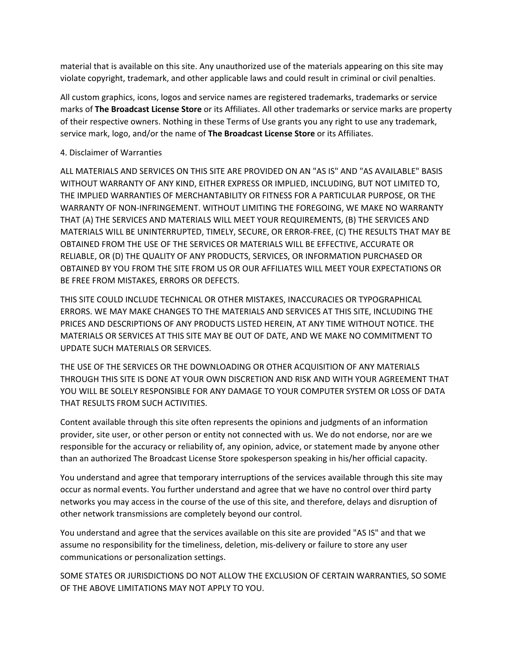material that is available on this site. Any unauthorized use of the materials appearing on this site may violate copyright, trademark, and other applicable laws and could result in criminal or civil penalties.

All custom graphics, icons, logos and service names are registered trademarks, trademarks or service marks of **The Broadcast License Store** or its Affiliates. All other trademarks or service marks are property of their respective owners. Nothing in these Terms of Use grants you any right to use any trademark, service mark, logo, and/or the name of **The Broadcast License Store** or its Affiliates.

### 4. Disclaimer of Warranties

ALL MATERIALS AND SERVICES ON THIS SITE ARE PROVIDED ON AN "AS IS" AND "AS AVAILABLE" BASIS WITHOUT WARRANTY OF ANY KIND, EITHER EXPRESS OR IMPLIED, INCLUDING, BUT NOT LIMITED TO, THE IMPLIED WARRANTIES OF MERCHANTABILITY OR FITNESS FOR A PARTICULAR PURPOSE, OR THE WARRANTY OF NON-INFRINGEMENT. WITHOUT LIMITING THE FOREGOING, WE MAKE NO WARRANTY THAT (A) THE SERVICES AND MATERIALS WILL MEET YOUR REQUIREMENTS, (B) THE SERVICES AND MATERIALS WILL BE UNINTERRUPTED, TIMELY, SECURE, OR ERROR-FREE, (C) THE RESULTS THAT MAY BE OBTAINED FROM THE USE OF THE SERVICES OR MATERIALS WILL BE EFFECTIVE, ACCURATE OR RELIABLE, OR (D) THE QUALITY OF ANY PRODUCTS, SERVICES, OR INFORMATION PURCHASED OR OBTAINED BY YOU FROM THE SITE FROM US OR OUR AFFILIATES WILL MEET YOUR EXPECTATIONS OR BE FREE FROM MISTAKES, ERRORS OR DEFECTS.

THIS SITE COULD INCLUDE TECHNICAL OR OTHER MISTAKES, INACCURACIES OR TYPOGRAPHICAL ERRORS. WE MAY MAKE CHANGES TO THE MATERIALS AND SERVICES AT THIS SITE, INCLUDING THE PRICES AND DESCRIPTIONS OF ANY PRODUCTS LISTED HEREIN, AT ANY TIME WITHOUT NOTICE. THE MATERIALS OR SERVICES AT THIS SITE MAY BE OUT OF DATE, AND WE MAKE NO COMMITMENT TO UPDATE SUCH MATERIALS OR SERVICES.

THE USE OF THE SERVICES OR THE DOWNLOADING OR OTHER ACQUISITION OF ANY MATERIALS THROUGH THIS SITE IS DONE AT YOUR OWN DISCRETION AND RISK AND WITH YOUR AGREEMENT THAT YOU WILL BE SOLELY RESPONSIBLE FOR ANY DAMAGE TO YOUR COMPUTER SYSTEM OR LOSS OF DATA THAT RESULTS FROM SUCH ACTIVITIES.

Content available through this site often represents the opinions and judgments of an information provider, site user, or other person or entity not connected with us. We do not endorse, nor are we responsible for the accuracy or reliability of, any opinion, advice, or statement made by anyone other than an authorized The Broadcast License Store spokesperson speaking in his/her official capacity.

You understand and agree that temporary interruptions of the services available through this site may occur as normal events. You further understand and agree that we have no control over third party networks you may access in the course of the use of this site, and therefore, delays and disruption of other network transmissions are completely beyond our control.

You understand and agree that the services available on this site are provided "AS IS" and that we assume no responsibility for the timeliness, deletion, mis-delivery or failure to store any user communications or personalization settings.

SOME STATES OR JURISDICTIONS DO NOT ALLOW THE EXCLUSION OF CERTAIN WARRANTIES, SO SOME OF THE ABOVE LIMITATIONS MAY NOT APPLY TO YOU.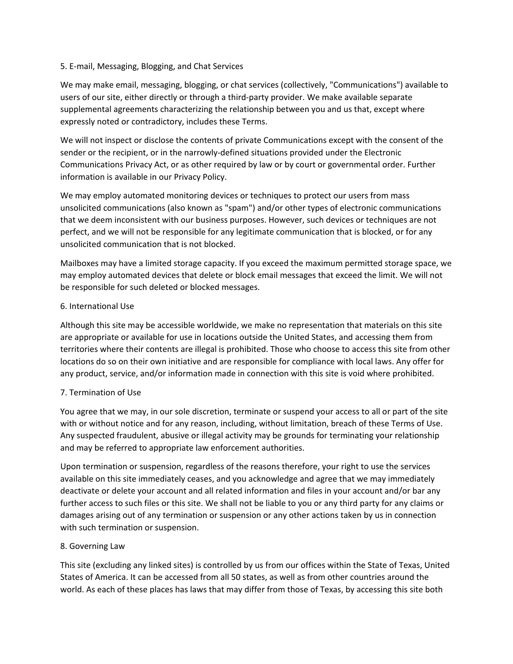### 5. E-mail, Messaging, Blogging, and Chat Services

We may make email, messaging, blogging, or chat services (collectively, "Communications") available to users of our site, either directly or through a third-party provider. We make available separate supplemental agreements characterizing the relationship between you and us that, except where expressly noted or contradictory, includes these Terms.

We will not inspect or disclose the contents of private Communications except with the consent of the sender or the recipient, or in the narrowly-defined situations provided under the Electronic Communications Privacy Act, or as other required by law or by court or governmental order. Further information is available in our Privacy Policy.

We may employ automated monitoring devices or techniques to protect our users from mass unsolicited communications (also known as "spam") and/or other types of electronic communications that we deem inconsistent with our business purposes. However, such devices or techniques are not perfect, and we will not be responsible for any legitimate communication that is blocked, or for any unsolicited communication that is not blocked.

Mailboxes may have a limited storage capacity. If you exceed the maximum permitted storage space, we may employ automated devices that delete or block email messages that exceed the limit. We will not be responsible for such deleted or blocked messages.

#### 6. International Use

Although this site may be accessible worldwide, we make no representation that materials on this site are appropriate or available for use in locations outside the United States, and accessing them from territories where their contents are illegal is prohibited. Those who choose to access this site from other locations do so on their own initiative and are responsible for compliance with local laws. Any offer for any product, service, and/or information made in connection with this site is void where prohibited.

### 7. Termination of Use

You agree that we may, in our sole discretion, terminate or suspend your access to all or part of the site with or without notice and for any reason, including, without limitation, breach of these Terms of Use. Any suspected fraudulent, abusive or illegal activity may be grounds for terminating your relationship and may be referred to appropriate law enforcement authorities.

Upon termination or suspension, regardless of the reasons therefore, your right to use the services available on this site immediately ceases, and you acknowledge and agree that we may immediately deactivate or delete your account and all related information and files in your account and/or bar any further access to such files or this site. We shall not be liable to you or any third party for any claims or damages arising out of any termination or suspension or any other actions taken by us in connection with such termination or suspension.

### 8. Governing Law

This site (excluding any linked sites) is controlled by us from our offices within the State of Texas, United States of America. It can be accessed from all 50 states, as well as from other countries around the world. As each of these places has laws that may differ from those of Texas, by accessing this site both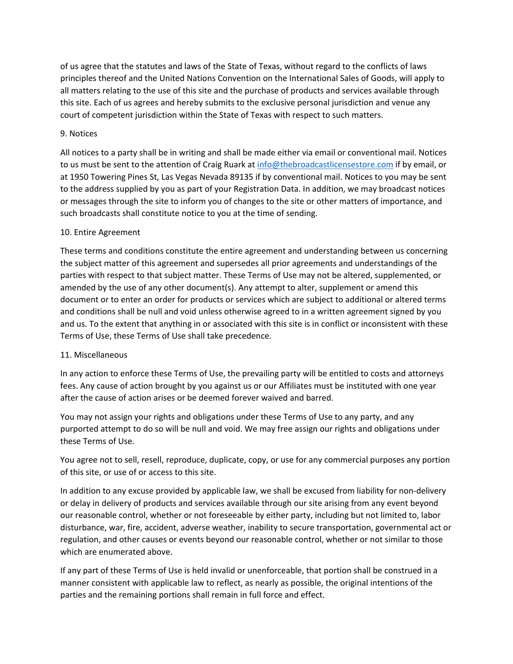of us agree that the statutes and laws of the State of Texas, without regard to the conflicts of laws principles thereof and the United Nations Convention on the International Sales of Goods, will apply to all matters relating to the use of this site and the purchase of products and services available through this site. Each of us agrees and hereby submits to the exclusive personal jurisdiction and venue any court of competent jurisdiction within the State of Texas with respect to such matters.

### 9. Notices

All notices to a party shall be in writing and shall be made either via email or conventional mail. Notices to us must be sent to the attention of Craig Ruark at [info@thebroadcastlicensestore.com](mailto:info@thebroadcastlicensestore.com) if by email, or at 1950 Towering Pines St, Las Vegas Nevada 89135 if by conventional mail. Notices to you may be sent to the address supplied by you as part of your Registration Data. In addition, we may broadcast notices or messages through the site to inform you of changes to the site or other matters of importance, and such broadcasts shall constitute notice to you at the time of sending.

## 10. Entire Agreement

These terms and conditions constitute the entire agreement and understanding between us concerning the subject matter of this agreement and supersedes all prior agreements and understandings of the parties with respect to that subject matter. These Terms of Use may not be altered, supplemented, or amended by the use of any other document(s). Any attempt to alter, supplement or amend this document or to enter an order for products or services which are subject to additional or altered terms and conditions shall be null and void unless otherwise agreed to in a written agreement signed by you and us. To the extent that anything in or associated with this site is in conflict or inconsistent with these Terms of Use, these Terms of Use shall take precedence.

# 11. Miscellaneous

In any action to enforce these Terms of Use, the prevailing party will be entitled to costs and attorneys fees. Any cause of action brought by you against us or our Affiliates must be instituted with one year after the cause of action arises or be deemed forever waived and barred.

You may not assign your rights and obligations under these Terms of Use to any party, and any purported attempt to do so will be null and void. We may free assign our rights and obligations under these Terms of Use.

You agree not to sell, resell, reproduce, duplicate, copy, or use for any commercial purposes any portion of this site, or use of or access to this site.

In addition to any excuse provided by applicable law, we shall be excused from liability for non-delivery or delay in delivery of products and services available through our site arising from any event beyond our reasonable control, whether or not foreseeable by either party, including but not limited to, labor disturbance, war, fire, accident, adverse weather, inability to secure transportation, governmental act or regulation, and other causes or events beyond our reasonable control, whether or not similar to those which are enumerated above.

If any part of these Terms of Use is held invalid or unenforceable, that portion shall be construed in a manner consistent with applicable law to reflect, as nearly as possible, the original intentions of the parties and the remaining portions shall remain in full force and effect.